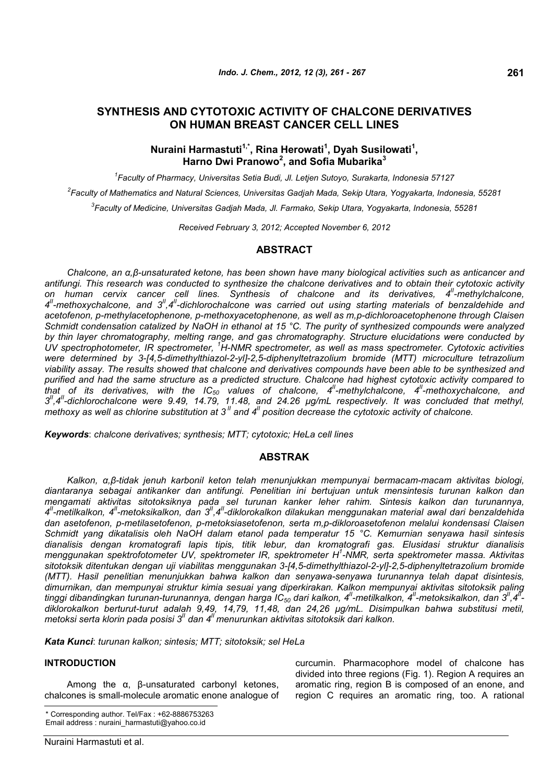## **SYNTHESIS AND CYTOTOXIC ACTIVITY OF CHALCONE DERIVATIVES ON HUMAN BREAST CANCER CELL LINES**

## **Nuraini Harmastuti1,\*, Rina Herowati<sup>1</sup> , Dyah Susilowati<sup>1</sup> , Harno Dwi Pranowo<sup>2</sup> , and Sofia Mubarika<sup>3</sup>**

*1 Faculty of Pharmacy, Universitas Setia Budi, Jl. Letjen Sutoyo, Surakarta, Indonesia 57127*

*2 Faculty of Mathematics and Natural Sciences, Universitas Gadjah Mada, Sekip Utara, Yogyakarta, Indonesia, 55281*

*3 Faculty of Medicine, Universitas Gadjah Mada, Jl. Farmako, Sekip Utara, Yogyakarta, Indonesia, 55281*

*Received February 3, 2012; Accepted November 6, 2012*

### **ABSTRACT**

*Chalcone, an α,β-unsaturated ketone, has been shown have many biological activities such as anticancer and antifungi. This research was conducted to synthesize the chalcone derivatives and to obtain their cytotoxic activity on human cervix cancer cell lines. Synthesis of chalcone and its derivatives, 4II-methylchalcone, 4 II-methoxychalcone, and 3II,4II-dichlorochalcone was carried out using starting materials of benzaldehide and acetofenon, p-methylacetophenone, p-methoxyacetophenone, as well as m,p-dichloroacetophenone through Claisen Schmidt condensation catalized by NaOH in ethanol at 15 °C. The purity of synthesized compounds were analyzed by thin layer chromatography, melting range, and gas chromatography. Structure elucidations were conducted by UV spectrophotometer, IR spectrometer, <sup>1</sup>H-NMR spectrometer, as well as mass spectrometer. Cytotoxic activities were determined by 3-[4,5-dimethylthiazol-2-yl]-2,5-diphenyltetrazolium bromide (MTT) microculture tetrazolium viability assay. The results showed that chalcone and derivatives compounds have been able to be synthesized and purified and had the same structure as a predicted structure. Chalcone had highest cytotoxic activity compared to that of its derivatives, with the IC<sup>50</sup> values of chalcone, 4II-methylchalcone, 4II-methoxychalcone, and 3 II,4II-dichlorochalcone were 9.49, 14.79, 11.48, and 24.26 µg/mL respectively. It was concluded that methyl, methoxy as well as chlorine substitution at 3<sup><i>II</sup>* and 4<sup>*II</sup>* position decrease the cytotoxic activity of chalcone.</sup></sup>

*Keywords*: *chalcone derivatives; synthesis; MTT; cytotoxic; HeLa cell lines*

### **ABSTRAK**

*Kalkon, α,β-tidak jenuh karbonil keton telah menunjukkan mempunyai bermacam-macam aktivitas biologi, diantaranya sebagai antikanker dan antifungi. Penelitian ini bertujuan untuk mensintesis turunan kalkon dan mengamati aktivitas sitotoksiknya pada sel turunan kanker leher rahim. Sintesis kalkon dan turunannya, 4 II-metilkalkon, 4II-metoksikalkon, dan 3II,4II-diklorokalkon dilakukan menggunakan material awal dari benzaldehida dan asetofenon, p-metilasetofenon, p-metoksiasetofenon, serta m,p-dikloroasetofenon melalui kondensasi Claisen Schmidt yang dikatalisis oleh NaOH dalam etanol pada temperatur 15 °C. Kemurnian senyawa hasil sintesis dianalisis dengan kromatografi lapis tipis, titik lebur, dan kromatografi gas. Elusidasi struktur dianalisis menggunakan spektrofotometer UV, spektrometer IR, spektrometer H<sup>1</sup> -NMR, serta spektrometer massa. Aktivitas sitotoksik ditentukan dengan uji viabilitas menggunakan 3-[4,5-dimethylthiazol-2-yl]-2,5-diphenyltetrazolium bromide (MTT). Hasil penelitian menunjukkan bahwa kalkon dan senyawa-senyawa turunannya telah dapat disintesis, dimurnikan, dan mempunyai struktur kimia sesuai yang diperkirakan. Kalkon mempunyai aktivitas sitotoksik paling tinggi dibandingkan turunan-turunannya, dengan harga IC<sup>50</sup> dari kalkon, 4II-metilkalkon, 4II-metoksikalkon, dan 3II,4II diklorokalkon berturut-turut adalah 9,49, 14,79, 11,48, dan 24,26 µg/mL. Disimpulkan bahwa substitusi metil, metoksi serta klorin pada posisi 3II dan 4II menurunkan aktivitas sitotoksik dari kalkon.*

*Kata Kunci*: *turunan kalkon; sintesis; MTT; sitotoksik; sel HeLa*

#### **INTRODUCTION**

Among the α, β-unsaturated carbonyl ketones, chalcones is small-molecule aromatic enone analogue of curcumin. Pharmacophore model of chalcone has divided into three regions (Fig. 1). Region A requires an aromatic ring, region B is composed of an enone, and region C requires an aromatic ring, too. A rational

<sup>\*</sup> Corresponding author. Tel/Fax : +62-8886753263 Email address : nuraini\_harmastuti@yahoo.co.id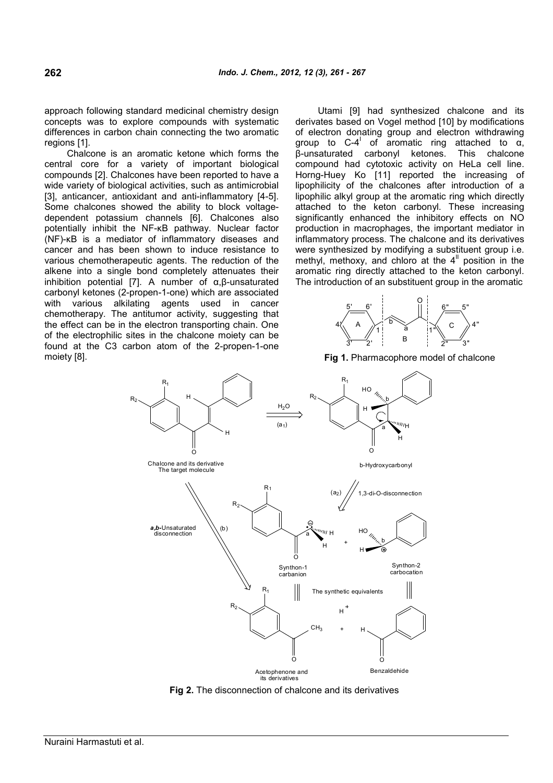approach following standard medicinal chemistry design concepts was to explore compounds with systematic differences in carbon chain connecting the two aromatic regions [1].

Chalcone is an aromatic ketone which forms the central core for a variety of important biological compounds [2]. Chalcones have been reported to have a wide variety of biological activities, such as antimicrobial [3], anticancer, antioxidant and anti-inflammatory [4-5]. Some chalcones showed the ability to block voltagedependent potassium channels [6]. Chalcones also potentially inhibit the NF-κB pathway. Nuclear factor (NF)-κB is a mediator of inflammatory diseases and cancer and has been shown to induce resistance to various chemotherapeutic agents. The reduction of the alkene into a single bond completely attenuates their inhibition potential [7]. A number of  $α, β$ -unsaturated carbonyl ketones (2-propen-1-one) which are associated with various alkilating agents used in cancer chemotherapy. The antitumor activity, suggesting that the effect can be in the electron transporting chain. One of the electrophilic sites in the chalcone moiety can be found at the C3 carbon atom of the 2-propen-1-one moiety [8].

Utami [9] had synthesized chalcone and its derivates based on Vogel method [10] by modifications of electron donating group and electron withdrawing group to C-4<sup>'</sup> of aromatic ring attached to  $\alpha$ , β-unsaturated carbonyl ketones. This chalcone compound had cytotoxic activity on HeLa cell line. Horng-Huey Ko [11] reported the increasing of lipophilicity of the chalcones after introduction of a lipophilic alkyl group at the aromatic ring which directly attached to the keton carbonyl. These increasing significantly enhanced the inhibitory effects on NO production in macrophages, the important mediator in inflammatory process. The chalcone and its derivatives were synthesized by modifying a substituent group i.e. methyl, methoxy, and chloro at the  $4<sup>II</sup>$  position in the aromatic ring directly attached to the keton carbonyl. The introduction of an substituent group in the aromatic



**Fig 1.** Pharmacophore model of chalcone



**Fig 2.** The disconnection of chalcone and its derivatives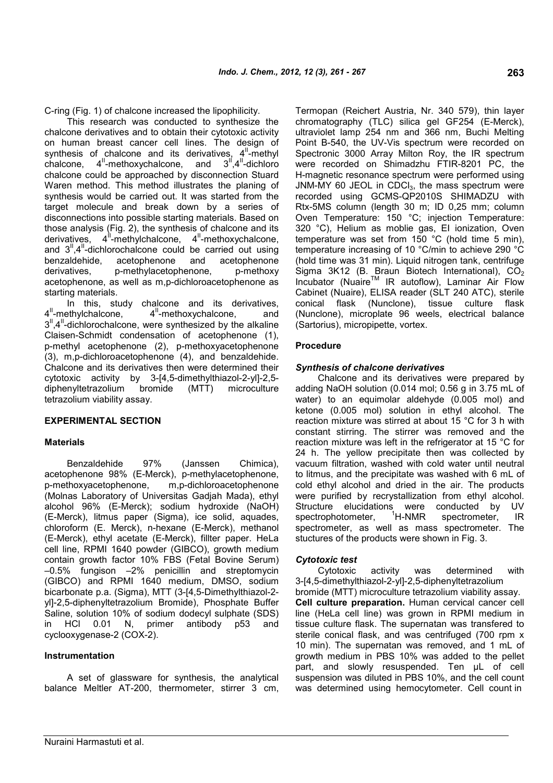C-ring (Fig. 1) of chalcone increased the lipophilicity.

This research was conducted to synthesize the chalcone derivatives and to obtain their cytotoxic activity on human breast cancer cell lines. The design of synthesis of chalcone and its derivatives,  $4^{\text{II}}$ -methyl chalcone,  $4^{\text{II}}$ -methoxychalcone, and  $3^{\text{II}}$ ,  $4^{\text{II}}$ -dichloro  $chalcone$ ,  $4<sup>II</sup>$ -methoxychalcone, and chalcone could be approached by disconnection Stuard Waren method. This method illustrates the planing of synthesis would be carried out. It was started from the target molecule and break down by a series of disconnections into possible starting materials. Based on those analysis (Fig. 2), the synthesis of chalcone and its derivatives,  $4^{\frac{1}{2}}$ -methylchalcone,  $4^{\frac{1}{2}}$ -methoxychalcone, and  $3<sup>II</sup>$ , 4<sup>II</sup>-dichlorochalcone could be carried out using benzaldehide, acetophenone and acetophenone derivatives, p-methylacetophenone, p-methoxy acetophenone, as well as m,p-dichloroacetophenone as starting materials.

In this, study chalcone and its derivatives, 4<sup>"</sup>-methylchalcone, 4<sup>"</sup>-methoxychalcone, and  $3<sup>II</sup>$ ,4 $<sup>II</sup>$ -dichlorochalcone, were synthesized by the alkaline</sup> Claisen-Schmidt condensation of acetophenone (1), p-methyl acetophenone (2), p-methoxyacetophenone (3), m,p-dichloroacetophenone (4), and benzaldehide. Chalcone and its derivatives then were determined their cytotoxic activity by 3-[4,5-dimethylthiazol-2-yl]-2,5 diphenyltetrazolium bromide (MTT) microculture tetrazolium viability assay.

### **EXPERIMENTAL SECTION**

### **Materials**

Benzaldehide 97% (Janssen Chimica), acetophenone 98% (E-Merck), p-methylacetophenone, p-methoxyacetophenone, m,p-dichloroacetophenone (Molnas Laboratory of Universitas Gadjah Mada), ethyl alcohol 96% (E-Merck); sodium hydroxide (NaOH) (E-Merck), litmus paper (Sigma), ice solid, aquades, chloroform (E. Merck), n-hexane (E-Merck), methanol (E-Merck), ethyl acetate (E-Merck), fillter paper. HeLa cell line, RPMI 1640 powder (GIBCO), growth medium contain growth factor 10% FBS (Fetal Bovine Serum) –0.5% fungison –2% penicillin and streptomycin (GIBCO) and RPMI 1640 medium, DMSO, sodium bicarbonate p.a. (Sigma), MTT (3-[4,5-Dimethylthiazol-2 yl]-2,5-diphenyltetrazolium Bromide), Phosphate Buffer Saline, solution 10% of sodium dodecyl sulphate (SDS) in HCl 0.01 N, primer antibody p53 and cyclooxygenase-2 (COX-2).

### **Instrumentation**

A set of glassware for synthesis, the analytical balance Meltler AT-200, thermometer, stirrer 3 cm, Termopan (Reichert Austria, Nr. 340 579), thin layer chromatography (TLC) silica gel GF254 (E-Merck), ultraviolet lamp 254 nm and 366 nm, Buchi Melting Point B-540, the UV-Vis spectrum were recorded on Spectronic 3000 Array Milton Roy, the IR spectrum were recorded on Shimadzhu FTIR-8201 PC, the H-magnetic resonance spectrum were performed using JNM-MY 60 JEOL in CDC $I_3$ , the mass spectrum were recorded using GCMS-QP2010S SHIMADZU with Rtx-5MS column (length 30 m; ID 0,25 mm; column Oven Temperature: 150 °C; injection Temperature: 320 °C), Helium as moblie gas, EI ionization, Oven temperature was set from 150 °C (hold time 5 min), temperature increasing of 10 °C/min to achieve 290 °C (hold time was 31 min). Liquid nitrogen tank, centrifuge Sigma 3K12 (B. Braun Biotech International),  $CO<sub>2</sub>$ Incubator (Nuaire™ IR autoflow), Laminar Air Flow Cabinet (Nuaire), ELISA reader (SLT 240 ATC), sterile conical flask (Nunclone), tissue culture flask (Nunclone), microplate 96 weels, electrical balance (Sartorius), micropipette, vortex.

### **Procedure**

### *Synthesis of chalcone derivatives*

Chalcone and its derivatives were prepared by adding NaOH solution (0.014 mol; 0.56 g in 3.75 mL of water) to an equimolar aldehyde (0.005 mol) and ketone (0.005 mol) solution in ethyl alcohol. The reaction mixture was stirred at about 15 °C for 3 h with constant stirring. The stirrer was removed and the reaction mixture was left in the refrigerator at 15 °C for 24 h. The yellow precipitate then was collected by vacuum filtration, washed with cold water until neutral to litmus, and the precipitate was washed with 6 mL of cold ethyl alcohol and dried in the air. The products were purified by recrystallization from ethyl alcohol. Structure elucidations were conducted by UV<br>spectrophotometer, <sup>1</sup>H-NMR spectrometer, IR spectrophotometer, <sup>1</sup>H-NMR spectrometer, IR spectrometer, as well as mass spectrometer. The stuctures of the products were shown in Fig. 3.

### *Cytotoxic test*

Cytotoxic activity was determined with 3-[4,5-dimethylthiazol-2-yl]-2,5-diphenyltetrazolium bromide (MTT) microculture tetrazolium viability assay. **Cell culture preparation.** Human cervical cancer cell line (HeLa cell line) was grown in RPMI medium in tissue culture flask. The supernatan was transfered to sterile conical flask, and was centrifuged (700 rpm x 10 min). The supernatan was removed, and 1 mL of growth medium in PBS 10% was added to the pellet part, and slowly resuspended. Ten µL of cell suspension was diluted in PBS 10%, and the cell count was determined using hemocytometer. Cell count in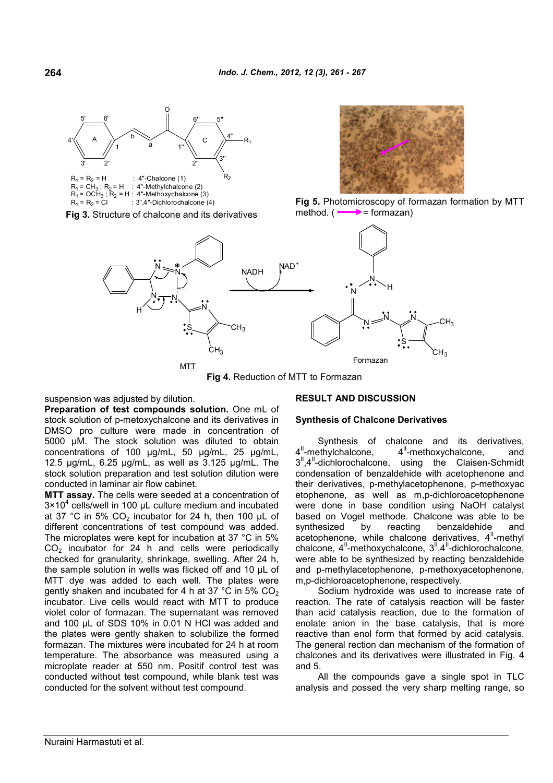

 $R_1 = R_2 = C1$  : 3",4"-Dichlorochalcone (4)

**Fig 3.** Structure of chalcone and its derivatives



**Fig 5.** Photomicroscopy of formazan formation by MTT method.  $(\longrightarrow)$  = formazan)



**Fig 4.** Reduction of MTT to Formazan

suspension was adjusted by dilution.

**Preparation of test compounds solution.** One mL of stock solution of p-metoxychalcone and its derivatives in DMSO pro culture were made in concentration of 5000 µM. The stock solution was diluted to obtain concentrations of 100 μg/mL, 50 μg/mL, 25 μg/mL, 12.5 μg/mL, 6.25 μg/mL, as well as 3.125 μg/mL. The stock solution preparation and test solution dilution were conducted in laminar air flow cabinet.

**MTT assay.** The cells were seeded at a concentration of  $3 \times 10^4$  cells/well in 100 µL culture medium and incubated at 37 °C in 5% CO<sub>2</sub> incubator for 24 h, then 100  $\mu$ L of different concentrations of test compound was added. The microplates were kept for incubation at 37 °C in 5%  $CO<sub>2</sub>$  incubator for 24 h and cells were periodically checked for granularity, shrinkage, swelling. After 24 h, the sample solution in wells was flicked off and 10 μL of MTT dye was added to each well. The plates were gently shaken and incubated for 4 h at 37  $^{\circ}$ C in 5% CO<sub>2</sub> incubator. Live cells would react with MTT to produce violet color of formazan. The supernatant was removed and 100 μL of SDS 10% in 0.01 N HCl was added and the plates were gently shaken to solubilize the formed formazan. The mixtures were incubated for 24 h at room temperature. The absorbance was measured using a microplate reader at 550 nm. Positif control test was conducted without test compound, while blank test was conducted for the solvent without test compound.

### **RESULT AND DISCUSSION**

### **Synthesis of Chalcone Derivatives**

Synthesis of chalcone and its derivatives, 4<sup>"</sup>-methylchalcone, 4<sup>"-</sup>methoxychalcone, and 3<sup>"</sup>,4<sup>"</sup>-dichlorochalcone, using the Claisen-Schmidt condensation of benzaldehide with acetophenone and their derivatives, p-methylacetophenone, p-methoxyac etophenone, as well as m,p-dichloroacetophenone were done in base condition using NaOH catalyst based on Vogel methode. Chalcone was able to be synthesized by reacting benzaldehide and acetophenone, while chalcone derivatives,  $4^{\prime\prime}$ -methyl chalcone,  $4^{\text{II}}$ -methoxychalcone,  $3^{\text{II}}$ ,  $4^{\text{II}}$ -dichlorochalcone, were able to be synthesized by reacting benzaldehide and p-methylacetophenone, p-methoxyacetophenone, m,p-dichloroacetophenone, respectively.

Sodium hydroxide was used to increase rate of reaction. The rate of catalysis reaction will be faster than acid catalysis reaction, due to the formation of enolate anion in the base catalysis, that is more reactive than enol form that formed by acid catalysis. The general rection dan mechanism of the formation of chalcones and its derivatives were illustrated in Fig. 4 and 5.

All the compounds gave a single spot in TLC analysis and possed the very sharp melting range, so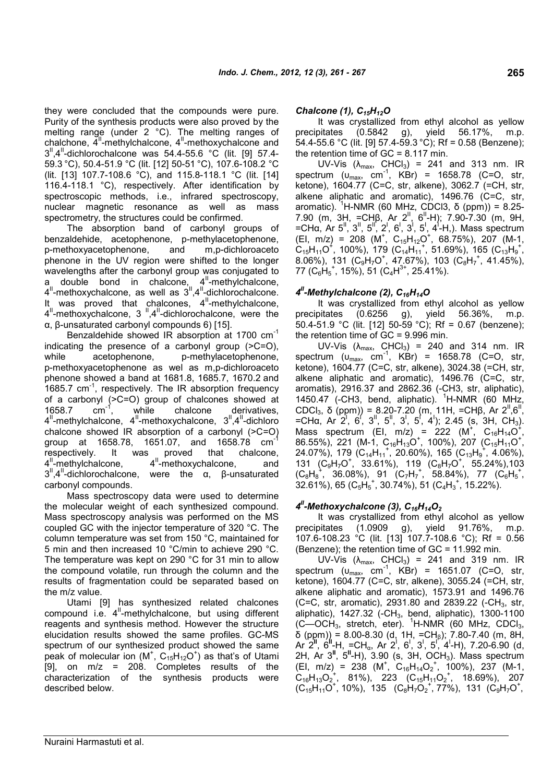they were concluded that the compounds were pure. Purity of the synthesis products were also proved by the melting range (under 2 °C). The melting ranges of precipitates chalchone,  $4^{\prime\prime}$ -methylchalcone,  $4^{\prime\prime}$ -methoxychalcone and  $3^{\text{II}}$ ,4<sup>II</sup>-dichlorochalcone was 54.4-55.6 °C (lit. [9] 57.4-59.3 °C), 50.4-51.9 °C (lit. [12] 50-51 °C), 107.6-108.2 °C (lit. [13] 107.7-108.6 °C), and 115.8-118.1 °C (lit. [14] 116.4-118.1 °C), respectively. After identification by spectroscopic methods, i.e., infrared spectroscopy, nuclear magnetic resonance as well as mass spectrometry, the structures could be confirmed.

The absorption band of carbonyl groups of benzaldehide, acetophenone, p-methylacetophenone, p-methoxyacetophenone, and m,p-dichloroaceto phenone in the UV region were shifted to the longer wavelengths after the carbonyl group was conjugated to a double bond in chalcone,  $4^{\text{II}}$ -methylchalcone,  $4^{\text{II}}$ -methoxychalcone, as well as  $3^{\text{II}}$ ,  $4^{\text{II}}$ -dichlorochalcone. It was proved that chalcones,  $4^{\text{II}}$ -methylchalcone, 4<sup>"</sup>-methoxychalcone, 3<sup>"</sup>,4<sup>"</sup>-dichlorochalcone, were the α, β-unsaturated carbonyl compounds 6) [15].

Benzaldehide showed IR absorption at 1700 cm-1 indicating the presence of a carbonyl group (>C=O), while acetophenone, p-methylacetophenone, p-methoxyacetophenone as wel as m,p-dichloroaceto phenone showed a band at 1681.8, 1685.7, 1670.2 and 1685.7 cm<sup>-1</sup>, respectively. The IR absorption frequency of a carbonyl ( $>$ C=O) group of chalcones showed at 1658.7 cm<sup>-1</sup>, while chalcone derivatives, 1658.7  $cm^{-1}$ , while chalcone derivatives, 4<sup>"</sup>-methylchalcone, 4<sup>"</sup>-methoxychalcone, 3<sup>"</sup>,4<sup>"</sup>-dichloro chalcone showed IR absorption of a carbonyl (>C=O) group at 1658.78, 1651.07, and 1658.78 cm<sup>-</sup> respectively. It was proved that chalcone, 4<sup>"</sup>-methylchalcone, II-proved that chalcone,<br>4<sup>II</sup>-methoxychalcone, and  $3<sup>II</sup>$ , 4<sup>II</sup>-dichlorochalcone, were the α, β-unsaturated carbonyl compounds.

Mass spectroscopy data were used to determine the molecular weight of each synthesized compound. Mass spectroscopy analysis was performed on the MS coupled GC with the injector temperature of 320 °C. The column temperature was set from 150 °C, maintained for 5 min and then increased 10 °C/min to achieve 290 °C. The temperature was kept on 290 °C for 31 min to allow the compound volatile, run through the column and the results of fragmentation could be separated based on the m/z value.

Utami [9] has synthesized related chalcones  $combound$  i.e.  $4<sup>II</sup>$ -methylchalcone, but using different reagents and synthesis method. However the structure elucidation results showed the same profiles. GC-MS spectrum of our synthesized product showed the same peak of molecular ion  $(M^*, C_{15}H_{12}O^*)$  as that's of Utami [9], on m/z = 208. Completes results of the characterization of the synthesis products were described below.

### *Chalcone (1), C15H12O*

It was crystallized from ethyl alcohol as yellow  $(0.5842 \text{ g})$ , yield 56.17%, m.p. 54.4-55.6 °C (lit. [9] 57.4-59.3 °C); Rf = 0.58 (Benzene); the retention time of  $GC = 8.117$  min.

UV-Vis  $(\lambda_{\text{max}}, \text{CHCl}_3) = 241$  and 313 nm. IR spectrum  $(u_{max}, cm^{-1}, KBr) = 1658.78$  (C=O, str, ketone), 1604.77 (C=C, str, alkene), 3062.7 (=CH, str, alkene aliphatic and aromatic), 1496.76 (C=C, str, aromatic). <sup>1</sup>H-NMR (60 MHz, CDCl3, δ (ppm)) = 8.25-7.90 (m, 3H, =CHβ, Ar 2<sup>ll</sup>, 6<sup>ll</sup>-H); 7.90-7.30 (m, 9H, =CHα, Ar 5<sup>II</sup>, 3<sup>II</sup>, 5<sup>II</sup>, 2<sup>I</sup>, 6<sup>I</sup>, 3<sup>I</sup>, 5<sup>I</sup>, 4<sup>1</sup>-H, a Mass spectrum  $(EI, m/z) = 208$  (M<sup>+</sup>, C<sub>15</sub>H<sub>12</sub>O<sup>+</sup>, 68.75%), 207 (M-1,  $C_{15}H_{11}O^+$ , 100%), 179 ( $C_{14}H_{11}^+$ , 51.69%), 165 ( $C_{13}H_9^+$ ,  $8.06\%$ ), 131 ( $C_9H_7O^+$ , 47.67%), 103 ( $C_8H_7^+$ , 41.45%),  $77~({\rm C}_6 {\rm \acute{H}_5}^+$ , 15%), 51 ( ${\rm C}_4 {\rm H}^{3+}$ , 25.41%).

# *4 II-Methylchalcone (2), C16H14O*

It was crystallized from ethyl alcohol as yellow precipitates (0.6256 g), yield 56.36%, m.p. 50.4-51.9 °C (lit. [12] 50-59 °C); Rf = 0.67 (benzene); the retention time of GC = 9.996 min.

UV-Vis  $(\lambda_{\text{max}}, \text{CHCl}_3) = 240$  and 314 nm. IR spectrum  $(u_{max}, cm^{-1}, KBr) = 1658.78$  (C=O, str, ketone), 1604.77 (C=C, str, alkene), 3024.38 (=CH, str, alkene aliphatic and aromatic), 1496.76 (C=C, str, aromatis), 2916.37 and 2862.36 (-CH3, str, aliphatic), 1450.47 (-CH3, bend, aliphatic).  ${}^{1}$ H-NMR (60 MHz, CDCl<sub>3</sub>, δ (ppm)) = 8.20-7.20 (m, 11H, =CHβ, Ar 2<sup>"</sup>,6" , =CHα, Ar 2<sup>1</sup>, 6<sup>1</sup>, 3<sup>1</sup>, 5<sup>1</sup>, 3<sup>1</sup>, 5<sup>1</sup>, 4<sup>1</sup>); 2.45 (s, 3H, CH<sub>3</sub>). Mass spectrum (EI, m/z) = 222 (M<sup>+</sup>, C<sub>16</sub>H<sub>14</sub>O<sup>+</sup>, 86.55%), 221 (M-1, C<sub>16</sub>H<sub>13</sub>O<sup>+</sup>, 100%), 207 (C<sub>15</sub>H<sub>11</sub>O<sup>+</sup>,  $24.07\%$ ), 179 (C<sub>14</sub>H<sub>11</sub><sup>+</sup>, 20.60%), 165 (C<sub>13</sub>H<sub>9</sub><sup>+</sup>, 4.06%), 131  $(C_9H_7O^+, 33.61\%)$ , 119  $(C_8H_7O^+, 55.24\%)$ , 103  $(C_8H_8^+, 36.08\%)$ , 91  $(C_7H_7^+, 58.84\%)$ , 77  $(C_6H_5^+,$  $32.61\%$ ), 65 (C<sub>5</sub>H<sub>5</sub><sup>+</sup>, 30.74%), 51 (C<sub>4</sub>H<sub>3</sub><sup>+</sup>, 15.22%).

## *4 II-Methoxychalcone (3), C16H14O<sup>2</sup>*

It was crystallized from ethyl alcohol as yellow precipitates (1.0909 g), yield 91.76%, m.p. 107.6-108.23 °C (lit. [13] 107.7-108.6 °C); Rf = 0.56 (Benzene); the retention time of GC = 11.992 min.

UV-Vis  $(\lambda_{\text{max}}, \text{ CHCl}_3) = 241$  and 319 nm. IR spectrum  $(u_{max}, cm^{-1}, KBr) = 1651.07 (C=O, str,$ ketone), 1604.77 (C=C, str, alkene), 3055.24 (=CH, str, alkene aliphatic and aromatic), 1573.91 and 1496.76 (C=C, str, aromatic), 2931.80 and 2839.22  $(-CH_3, str,$ aliphatic), 1427.32 (-CH<sub>3</sub>, bend, aliphatic), 1300-1100  $(C$ —OCH<sub>3</sub>, stretch, eter). <sup>1</sup>H-NMR (60 MHz, CDCl<sub>3</sub>, δ (ppm)) = 8.00-8.30 (d, 1H, =CH<sub>β</sub>); 7.80-7.40 (m, 8H, Ar 2<sup>'I'</sup>, 6<sup>'I</sup>-H, =CH<sub>α</sub>, Ar 2<sup>i</sup>, 6<sup>'</sup>, 3<sup>'</sup>, 3<sup>'</sup>, 5<sup>',</sup> 4'-H), 7.20-6.90 (d, 2H, Ar 3**II**, 5**II**-H), 3.90 (s, 3H, OCH3). Mass spectrum  $(EI, m/z) = 238$   $(M^+, C_{16}H_{14}O_2^+, 100\%)$ , 237  $(M-1,$  $C_{16}H_{13}O_2^+$ , 81%), 223 ( $C_{15}H_{11}O_2^+$ , 18.69%), 207  $(C_{15}H_{11}O^+, 10\%)$ , 135  $(C_8H_7O_2^+, 77\%)$ , 131  $(C_9H_7O^+,$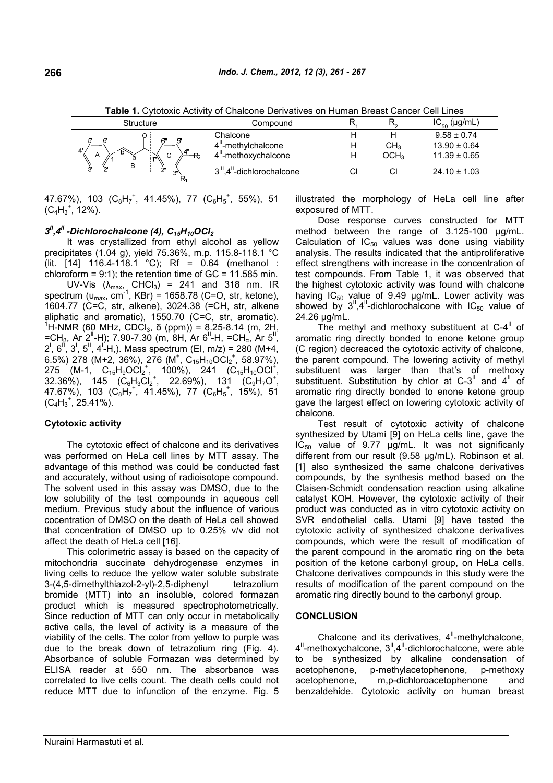Structure Compound R<sub>1</sub>  $R_{\circ}$  $IC_{50}$  (µg/mL) Chalcone H H 9.58 ± 0.74  $4^{\text{II}}$ -methylchalcone H CH<sub>3</sub> 13.90  $\pm$  0.64 4<sup>"</sup>-methoxychalcone H OCH<sub>3</sub> 11.39 ± 0.65  $R<sub>2</sub>$  $\overline{B}$  $3^{\parallel}$ ,4<sup> $\parallel$ </sup>-dichlorochalcone Cl Cl 24.10 ± 1.03

**Table 1.** Cytotoxic Activity of Chalcone Derivatives on Human Breast Cancer Cell Lines

47.67%), 103  $(\mathrm{C_8H_7}^+$ , 41.45%), 77  $(\mathrm{C_6H_5}^+$ , 55%), 51  $(C_4H_3^+, 12\%)$ .

## *3 II,4II -Dichlorochalcone (4), C15H10OCl<sup>2</sup>*

It was crystallized from ethyl alcohol as yellow precipitates (1.04 g), yield 75.36%, m.p. 115.8-118.1 °C (lit. [14] 116.4-118.1 °C); Rf = 0.64 (methanol : chloroform =  $9:1$ ); the retention time of  $GC = 11.585$  min.

UV-Vis  $(\lambda_{\text{max}}, \text{CHCl}_3)$  = 241 and 318 nm. IR spectrum ( $u_{max}$ , cm<sup>-1</sup>, KBr) = 1658.78 (C=O, str, ketone), 1604.77 (C=C, str, alkene), 3024.38 (=CH, str, alkene aliphatic and aromatic), 1550.70 (C=C, str, aromatic). <sup>1</sup>H-NMR (60 MHz, CDCl<sub>3</sub>, δ (ppm)) = 8.25-8.14 (m, 2H, =CH<sub>β</sub>, Ar<sup>`</sup>2<sup>II</sup>-H); 7.90-7.30 (m, 8H, Ar 6<sup>II</sup>-H, =CH<sub>α</sub>, Ar 5<sup>II'</sup>,  $2^1$ , 6<sup>II</sup>, 3<sup>I</sup>, 5<sup>II</sup>, 4<sup>I</sup>-H,). Mass spectrum (EI, m/z) = 280 (M+4, 6.5%) 278 (M+2, 36%), 276 (M<sup>+</sup>, C<sub>15</sub>H<sub>10</sub>OCl<sub>2</sub><sup>+</sup>, 58.97%), 275 (M-1,  $C_{15}H_9OCl_2^+$ , 100%), 241 ( $C_{15}H_{10}OCl_1^+$ ,  $32.36\%$ ),  $145\degree$  (C $_{6}$ H $_{3}$ Cl $_{2}^{+}$ , 22.69%), 131  $\degree$  (C $_{9}^{+}$ H $_{7}$ O $^{+}$ , 47.67%), 103  $(\dot{\text{C}_8 H_7}^+$ , 41.45%), 77  $(\dot{\text{C}_6 H_5}^+$ , 15%), 51  $(C_4H_3^+, 25.41\%)$ .

### **Cytotoxic activity**

The cytotoxic effect of chalcone and its derivatives was performed on HeLa cell lines by MTT assay. The advantage of this method was could be conducted fast and accurately, without using of radioisotope compound. The solvent used in this assay was DMSO, due to the low solubility of the test compounds in aqueous cell medium. Previous study about the influence of various cocentration of DMSO on the death of HeLa cell showed that concentration of DMSO up to 0.25% v/v did not affect the death of HeLa cell [16].

This colorimetric assay is based on the capacity of mitochondria succinate dehydrogenase enzymes in living cells to reduce the yellow water soluble substrate 3-(4,5-dimethylthiazol-2-yl)-2,5-diphenyl tetrazolium bromide (MTT) into an insoluble, colored formazan product which is measured spectrophotometrically. Since reduction of MTT can only occur in metabolically active cells, the level of activity is a measure of the viability of the cells. The color from yellow to purple was due to the break down of tetrazolium ring (Fig. 4). Absorbance of soluble Formazan was determined by ELISA reader at 550 nm. The absorbance was correlated to live cells count. The death cells could not reduce MTT due to infunction of the enzyme. Fig. 5 illustrated the morphology of HeLa cell line after exposured of MTT.

Dose response curves constructed for MTT method between the range of 3.125-100 µg/mL. Calculation of  $IC_{50}$  values was done using viability analysis. The results indicated that the antiproliferative effect strengthens with increase in the concentration of test compounds. From Table 1, it was observed that the highest cytotoxic activity was found with chalcone having  $IC_{50}$  value of 9.49  $\mu$ g/mL. Lower activity was showed by  $3^{\text{II}}$ ,4<sup>II</sup>-dichlorochalcone with IC<sub>50</sub> value of 24.26 µg/mL.

The methyl and methoxy substituent at  $C-4^{\prime\prime}$  of aromatic ring directly bonded to enone ketone group (C region) decreaced the cytotoxic activity of chalcone, the parent compound. The lowering activity of methyl substituent was larger than that's of methoxy substituent. Substitution by chlor at C-3<sup>II</sup> and  $4^{\text{II}}$  of aromatic ring directly bonded to enone ketone group gave the largest effect on lowering cytotoxic activity of chalcone.

Test result of cytotoxic activity of chalcone synthesized by Utami [9] on HeLa cells line, gave the  $IC_{50}$  value of 9.77  $\mu g/mL$ . It was not significanly different from our result (9.58 µg/mL). Robinson et al. [1] also synthesized the same chalcone derivatives compounds, by the synthesis method based on the Claisen-Schmidt condensation reaction using alkaline catalyst KOH. However, the cytotoxic activity of their product was conducted as in vitro cytotoxic activity on SVR endothelial cells. Utami [9] have tested the cytotoxic activity of synthesized chalcone derivatives compounds, which were the result of modification of the parent compound in the aromatic ring on the beta position of the ketone carbonyl group, on HeLa cells. Chalcone derivatives compounds in this study were the results of modification of the parent compound on the aromatic ring directly bound to the carbonyl group.

### **CONCLUSION**

Chalcone and its derivatives,  $4^{\text{II}}$ -methylchalcone, 4<sup>"</sup>-methoxychalcone, 3<sup>"</sup>,4<sup>"</sup>-dichlorochalcone, were able to be synthesized by alkaline condensation of acetophenone, p-methylacetophenone, p-methoxy acetophenone, m,p-dichloroacetophenone and benzaldehide. Cytotoxic activity on human breast